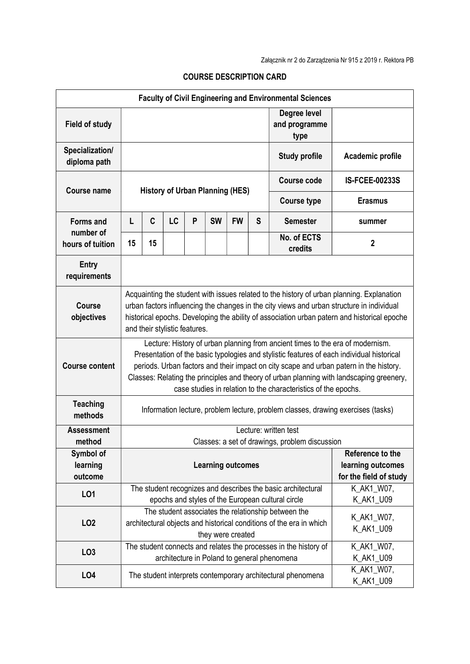| <b>Faculty of Civil Engineering and Environmental Sciences</b> |                                                                                                                                                                                                                                                                                                                                                                                                                                     |    |                                                   |                                                              |                   |                                       |                                                                                                                            |                        |                        |
|----------------------------------------------------------------|-------------------------------------------------------------------------------------------------------------------------------------------------------------------------------------------------------------------------------------------------------------------------------------------------------------------------------------------------------------------------------------------------------------------------------------|----|---------------------------------------------------|--------------------------------------------------------------|-------------------|---------------------------------------|----------------------------------------------------------------------------------------------------------------------------|------------------------|------------------------|
| <b>Field of study</b>                                          |                                                                                                                                                                                                                                                                                                                                                                                                                                     |    |                                                   |                                                              |                   | Degree level<br>and programme<br>type |                                                                                                                            |                        |                        |
| Specialization/<br>diploma path                                | <b>Study profile</b>                                                                                                                                                                                                                                                                                                                                                                                                                |    |                                                   |                                                              |                   |                                       |                                                                                                                            |                        | Academic profile       |
| <b>Course name</b>                                             | <b>History of Urban Planning (HES)</b>                                                                                                                                                                                                                                                                                                                                                                                              |    |                                                   |                                                              |                   |                                       |                                                                                                                            | <b>Course code</b>     | <b>IS-FCEE-00233S</b>  |
|                                                                |                                                                                                                                                                                                                                                                                                                                                                                                                                     |    |                                                   |                                                              |                   |                                       | <b>Course type</b>                                                                                                         | <b>Erasmus</b>         |                        |
| <b>Forms and</b>                                               | L                                                                                                                                                                                                                                                                                                                                                                                                                                   | C  | LC                                                | P                                                            | <b>SW</b>         | <b>FW</b>                             | S                                                                                                                          | <b>Semester</b>        | summer                 |
| number of<br>hours of tuition                                  | 15                                                                                                                                                                                                                                                                                                                                                                                                                                  | 15 |                                                   |                                                              |                   |                                       |                                                                                                                            | No. of ECTS<br>credits | $\boldsymbol{2}$       |
| <b>Entry</b><br>requirements                                   |                                                                                                                                                                                                                                                                                                                                                                                                                                     |    |                                                   |                                                              |                   |                                       |                                                                                                                            |                        |                        |
| <b>Course</b><br>objectives                                    | Acquainting the student with issues related to the history of urban planning. Explanation<br>urban factors influencing the changes in the city views and urban structure in individual<br>historical epochs. Developing the ability of association urban patern and historical epoche<br>and their stylistic features.                                                                                                              |    |                                                   |                                                              |                   |                                       |                                                                                                                            |                        |                        |
| <b>Course content</b>                                          | Lecture: History of urban planning from ancient times to the era of modernism.<br>Presentation of the basic typologies and stylistic features of each individual historical<br>periods. Urban factors and their impact on city scape and urban patern in the history.<br>Classes: Relating the principles and theory of urban planning with landscaping greenery,<br>case studies in relation to the characteristics of the epochs. |    |                                                   |                                                              |                   |                                       |                                                                                                                            |                        |                        |
| <b>Teaching</b><br>methods                                     | Information lecture, problem lecture, problem classes, drawing exercises (tasks)                                                                                                                                                                                                                                                                                                                                                    |    |                                                   |                                                              |                   |                                       |                                                                                                                            |                        |                        |
| <b>Assessment</b>                                              | Lecture: written test                                                                                                                                                                                                                                                                                                                                                                                                               |    |                                                   |                                                              |                   |                                       |                                                                                                                            |                        |                        |
| method<br>Symbol of                                            | Classes: a set of drawings, problem discussion                                                                                                                                                                                                                                                                                                                                                                                      |    |                                                   |                                                              |                   |                                       | Reference to the                                                                                                           |                        |                        |
| learning                                                       | <b>Learning outcomes</b>                                                                                                                                                                                                                                                                                                                                                                                                            |    |                                                   |                                                              |                   | learning outcomes                     |                                                                                                                            |                        |                        |
| outcome                                                        |                                                                                                                                                                                                                                                                                                                                                                                                                                     |    |                                                   |                                                              |                   |                                       |                                                                                                                            |                        | for the field of study |
| LO1                                                            |                                                                                                                                                                                                                                                                                                                                                                                                                                     |    |                                                   | The student recognizes and describes the basic architectural | K_AK1_W07,        |                                       |                                                                                                                            |                        |                        |
|                                                                |                                                                                                                                                                                                                                                                                                                                                                                                                                     |    | epochs and styles of the European cultural circle | K_AK1_U09                                                    |                   |                                       |                                                                                                                            |                        |                        |
| LO <sub>2</sub>                                                |                                                                                                                                                                                                                                                                                                                                                                                                                                     |    |                                                   |                                                              |                   |                                       | The student associates the relationship between the<br>architectural objects and historical conditions of the era in which | K_AK1_W07,             |                        |
|                                                                |                                                                                                                                                                                                                                                                                                                                                                                                                                     |    |                                                   |                                                              | they were created |                                       |                                                                                                                            | K_AK1_U09              |                        |
| LO <sub>3</sub>                                                |                                                                                                                                                                                                                                                                                                                                                                                                                                     |    |                                                   |                                                              |                   |                                       | The student connects and relates the processes in the history of                                                           | K_AK1_W07,             |                        |
|                                                                |                                                                                                                                                                                                                                                                                                                                                                                                                                     |    | architecture in Poland to general phenomena       | K_AK1_U09                                                    |                   |                                       |                                                                                                                            |                        |                        |
| LO <sub>4</sub>                                                | The student interprets contemporary architectural phenomena                                                                                                                                                                                                                                                                                                                                                                         |    |                                                   |                                                              |                   |                                       |                                                                                                                            | K_AK1_W07,             |                        |
|                                                                |                                                                                                                                                                                                                                                                                                                                                                                                                                     |    |                                                   |                                                              |                   |                                       |                                                                                                                            |                        | K_AK1_U09              |

## COURSE DESCRIPTION CARD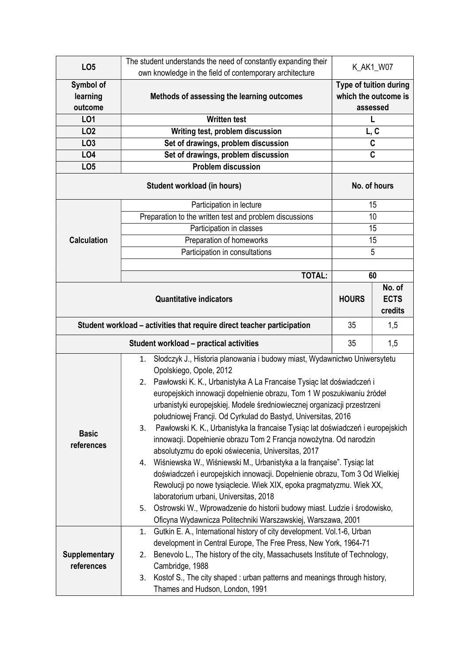| LO <sub>5</sub>                                                         | The student understands the need of constantly expanding their                                                                                                                                                                                                                                                                                                                                                                                                                                                                                                                                                                                                                                                                                                                                                                                                                                                                                                                                          |                                                            |     |  |  |  |  |  |
|-------------------------------------------------------------------------|---------------------------------------------------------------------------------------------------------------------------------------------------------------------------------------------------------------------------------------------------------------------------------------------------------------------------------------------------------------------------------------------------------------------------------------------------------------------------------------------------------------------------------------------------------------------------------------------------------------------------------------------------------------------------------------------------------------------------------------------------------------------------------------------------------------------------------------------------------------------------------------------------------------------------------------------------------------------------------------------------------|------------------------------------------------------------|-----|--|--|--|--|--|
|                                                                         | own knowledge in the field of contemporary architecture                                                                                                                                                                                                                                                                                                                                                                                                                                                                                                                                                                                                                                                                                                                                                                                                                                                                                                                                                 | K_AK1_W07                                                  |     |  |  |  |  |  |
| Symbol of<br>learning<br>outcome                                        | Methods of assessing the learning outcomes                                                                                                                                                                                                                                                                                                                                                                                                                                                                                                                                                                                                                                                                                                                                                                                                                                                                                                                                                              | Type of tuition during<br>which the outcome is<br>assessed |     |  |  |  |  |  |
| LO1                                                                     | <b>Written test</b>                                                                                                                                                                                                                                                                                                                                                                                                                                                                                                                                                                                                                                                                                                                                                                                                                                                                                                                                                                                     | L                                                          |     |  |  |  |  |  |
| LO <sub>2</sub>                                                         | Writing test, problem discussion                                                                                                                                                                                                                                                                                                                                                                                                                                                                                                                                                                                                                                                                                                                                                                                                                                                                                                                                                                        | L, C                                                       |     |  |  |  |  |  |
| LO <sub>3</sub>                                                         | Set of drawings, problem discussion                                                                                                                                                                                                                                                                                                                                                                                                                                                                                                                                                                                                                                                                                                                                                                                                                                                                                                                                                                     | $\mathbf c$                                                |     |  |  |  |  |  |
| LO <sub>4</sub>                                                         | Set of drawings, problem discussion                                                                                                                                                                                                                                                                                                                                                                                                                                                                                                                                                                                                                                                                                                                                                                                                                                                                                                                                                                     | $\mathbf c$                                                |     |  |  |  |  |  |
| LO <sub>5</sub>                                                         | <b>Problem discussion</b>                                                                                                                                                                                                                                                                                                                                                                                                                                                                                                                                                                                                                                                                                                                                                                                                                                                                                                                                                                               |                                                            |     |  |  |  |  |  |
|                                                                         | No. of hours                                                                                                                                                                                                                                                                                                                                                                                                                                                                                                                                                                                                                                                                                                                                                                                                                                                                                                                                                                                            |                                                            |     |  |  |  |  |  |
|                                                                         | Participation in lecture                                                                                                                                                                                                                                                                                                                                                                                                                                                                                                                                                                                                                                                                                                                                                                                                                                                                                                                                                                                | 15                                                         |     |  |  |  |  |  |
| <b>Calculation</b>                                                      | Preparation to the written test and problem discussions                                                                                                                                                                                                                                                                                                                                                                                                                                                                                                                                                                                                                                                                                                                                                                                                                                                                                                                                                 | 10                                                         |     |  |  |  |  |  |
|                                                                         | Participation in classes                                                                                                                                                                                                                                                                                                                                                                                                                                                                                                                                                                                                                                                                                                                                                                                                                                                                                                                                                                                | 15                                                         |     |  |  |  |  |  |
|                                                                         | Preparation of homeworks                                                                                                                                                                                                                                                                                                                                                                                                                                                                                                                                                                                                                                                                                                                                                                                                                                                                                                                                                                                | 15                                                         |     |  |  |  |  |  |
|                                                                         | Participation in consultations                                                                                                                                                                                                                                                                                                                                                                                                                                                                                                                                                                                                                                                                                                                                                                                                                                                                                                                                                                          | 5                                                          |     |  |  |  |  |  |
|                                                                         |                                                                                                                                                                                                                                                                                                                                                                                                                                                                                                                                                                                                                                                                                                                                                                                                                                                                                                                                                                                                         |                                                            |     |  |  |  |  |  |
|                                                                         | <b>TOTAL:</b>                                                                                                                                                                                                                                                                                                                                                                                                                                                                                                                                                                                                                                                                                                                                                                                                                                                                                                                                                                                           | 60                                                         |     |  |  |  |  |  |
|                                                                         | <b>HOURS</b>                                                                                                                                                                                                                                                                                                                                                                                                                                                                                                                                                                                                                                                                                                                                                                                                                                                                                                                                                                                            | No. of<br><b>ECTS</b><br>credits                           |     |  |  |  |  |  |
| Student workload - activities that require direct teacher participation | 35                                                                                                                                                                                                                                                                                                                                                                                                                                                                                                                                                                                                                                                                                                                                                                                                                                                                                                                                                                                                      | 1,5                                                        |     |  |  |  |  |  |
|                                                                         | <b>Student workload - practical activities</b>                                                                                                                                                                                                                                                                                                                                                                                                                                                                                                                                                                                                                                                                                                                                                                                                                                                                                                                                                          | 35                                                         | 1,5 |  |  |  |  |  |
| <b>Basic</b><br>references                                              | Słodczyk J., Historia planowania i budowy miast, Wydawnictwo Uniwersytetu<br>1.<br>Opolskiego, Opole, 2012<br>Pawłowski K. K., Urbanistyka A La Francaise Tysiąc lat doświadczeń i<br>2.<br>europejskich innowacji dopełnienie obrazu, Tom 1 W poszukiwaniu źródeł<br>urbanistyki europejskiej. Modele średniowiecznej organizacji przestrzeni<br>południowej Francji. Od Cyrkulad do Bastyd, Universitas, 2016<br>Pawłowski K. K., Urbanistyka la francaise Tysiąc lat doświadczeń i europejskich<br>3.<br>innowacji. Dopełnienie obrazu Tom 2 Francja nowożytna. Od narodzin<br>absolutyzmu do epoki oświecenia, Universitas, 2017<br>Wiśniewska W., Wiśniewski M., Urbanistyka a la française". Tysiąc lat<br>4.<br>doświadczeń i europejskich innowacji. Dopełnienie obrazu, Tom 3 Od Wielkiej<br>Rewolucji po nowe tysiąclecie. Wiek XIX, epoka pragmatyzmu. Wiek XX,<br>laboratorium urbani, Universitas, 2018<br>Ostrowski W., Wprowadzenie do historii budowy miast. Ludzie i środowisko,<br>5. |                                                            |     |  |  |  |  |  |
|                                                                         | Oficyna Wydawnicza Politechniki Warszawskiej, Warszawa, 2001<br>Gutkin E. A., International history of city development. Vol.1-6, Urban<br>1.                                                                                                                                                                                                                                                                                                                                                                                                                                                                                                                                                                                                                                                                                                                                                                                                                                                           |                                                            |     |  |  |  |  |  |
| <b>Supplementary</b><br>references                                      | development in Central Europe, The Free Press, New York, 1964-71<br>Benevolo L., The history of the city, Massachusets Institute of Technology,<br>2.<br>Cambridge, 1988                                                                                                                                                                                                                                                                                                                                                                                                                                                                                                                                                                                                                                                                                                                                                                                                                                |                                                            |     |  |  |  |  |  |
|                                                                         | Kostof S., The city shaped: urban patterns and meanings through history,<br>3.<br>Thames and Hudson, London, 1991                                                                                                                                                                                                                                                                                                                                                                                                                                                                                                                                                                                                                                                                                                                                                                                                                                                                                       |                                                            |     |  |  |  |  |  |